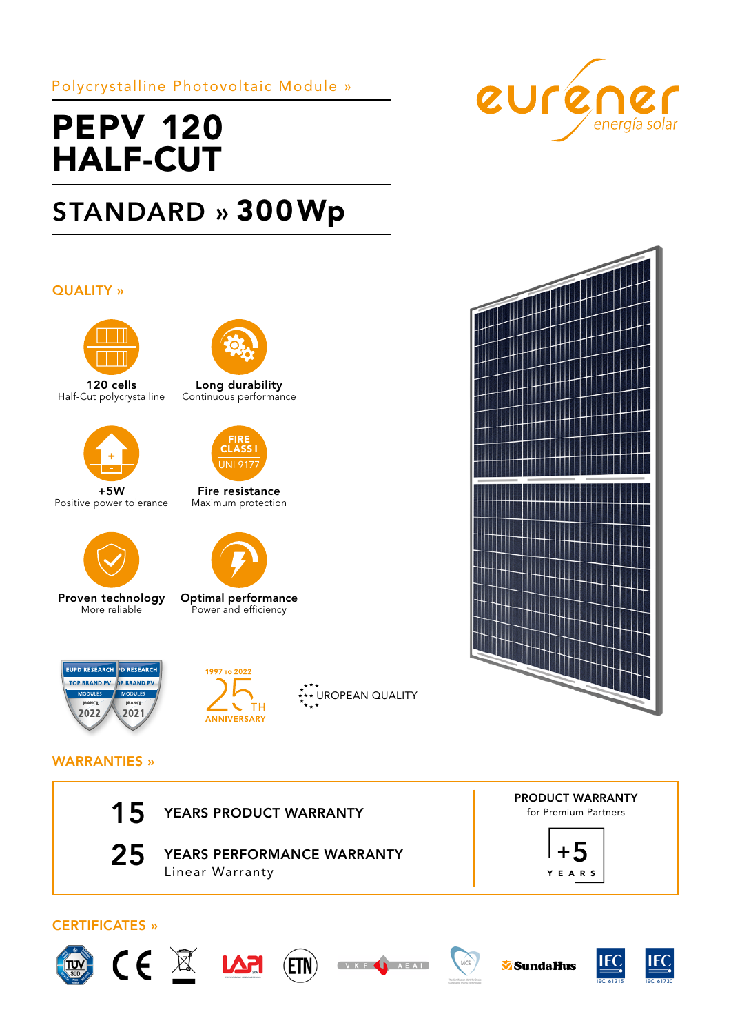Polycrystalline Photovoltaic Module »

# PEPV 120 HALF-CUT

# STANDARD » 300Wp

## QUALITY »



120 cells Half-Cut polycrystalline



+5W Positive power tolerance



Proven technology More reliable



Long durability Continuous performance



Fire resistance Maximum protection



Optimal performance Power and efficiency





**\*\*\* UROPEAN QUALITY** 





## WARRANTIES »





25 YEARS PERFORMANCE WARRANTY Linear Warranty

PRODUCT WARRANTY for Premium Partners